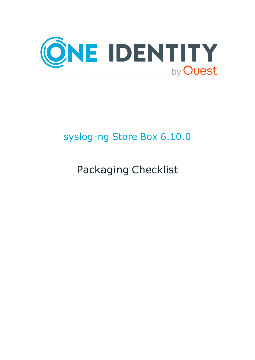

# syslog-ng Store Box 6.10.0

# Packaging Checklist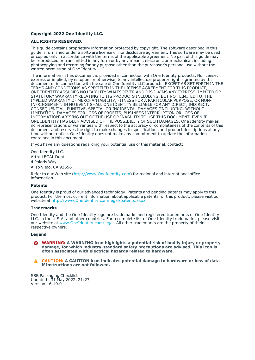#### **Copyright 2022 One Identity LLC.**

#### **ALL RIGHTS RESERVED.**

This guide contains proprietary information protected by copyright. The software described in this guide is furnished under a software license or nondisclosure agreement. This software may be used or copied only in accordance with the terms of the applicable agreement. No part of this guide may be reproduced or transmitted in any form or by any means, electronic or mechanical, including photocopying and recording for any purpose other than the purchaser's personal use without the written permission of One Identity LLC .

The information in this document is provided in connection with One Identity products. No license, express or implied, by estoppel or otherwise, to any intellectual property right is granted by this document or in connection with the sale of One Identity LLC products. EXCEPT AS SET FORTH IN THE TERMS AND CONDITIONS AS SPECIFIED IN THE LICENSE AGREEMENT FOR THIS PRODUCT, ONE IDENTITY ASSUMES NO LIABILITY WHATSOEVER AND DISCLAIMS ANY EXPRESS, IMPLIED OR STATUTORY WARRANTY RELATING TO ITS PRODUCTS INCLUDING, BUT NOT LIMITED TO, THE IMPLIED WARRANTY OF MERCHANTABILITY, FITNESS FOR A PARTICULAR PURPOSE, OR NON-INFRINGEMENT. IN NO EVENT SHALL ONE IDENTITY BE LIABLE FOR ANY DIRECT, INDIRECT, CONSEQUENTIAL, PUNITIVE, SPECIAL OR INCIDENTAL DAMAGES (INCLUDING, WITHOUT LIMITATION, DAMAGES FOR LOSS OF PROFITS, BUSINESS INTERRUPTION OR LOSS OF INFORMATION) ARISING OUT OF THE USE OR INABILITY TO USE THIS DOCUMENT, EVEN IF ONE IDENTITY HAS BEEN ADVISED OF THE POSSIBILITY OF SUCH DAMAGES. One Identity makes no representations or warranties with respect to the accuracy or completeness of the contents of this document and reserves the right to make changes to specifications and product descriptions at any time without notice. One Identity does not make any commitment to update the information contained in this document.

If you have any questions regarding your potential use of this material, contact:

One Identity LLC. Attn: LEGAL Dept 4 Polaris Way Aliso Viejo, CA 92656

Refer to our Web site [\(http://www.OneIdentity.com](http://www.oneidentity.com/)) for regional and international office information.

#### **Patents**

One Identity is proud of our advanced technology. Patents and pending patents may apply to this product. For the most current information about applicable patents for this product, please visit our website at [http://www.OneIdentity.com/legal/patents.aspx.](http://www.oneidentity.com/legal/patents.aspx)

#### **Trademarks**

One Identity and the One Identity logo are trademarks and registered trademarks of One Identity LLC. in the U.S.A. and other countries. For a complete list of One Identity trademarks, please visit our website at [www.OneIdentity.com/legal](http://www.oneidentity.com/legal). All other trademarks are the property of their respective owners.

#### **Legend**

**WARNING: A WARNING icon highlights a potential risk of bodily injury or property** œ **damage, for which industry-standard safety precautions are advised. This icon is often associated with electrical hazards related to hardware.**

**CAUTION: A CAUTION icon indicates potential damage to hardware or loss of data if instructions are not followed.**

SSB Packaging Checklist Updated - 31 May 2022, 21:27 Version - 6.10.0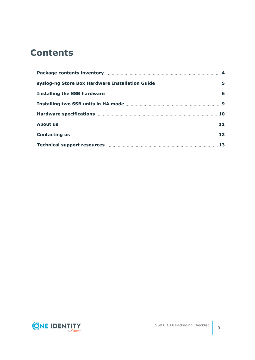## **Contents**

| Installing the SSB hardware Manual Account 100 Manual Account 100 Manual Account 100 Manual Account 100 Manual                                                                                                                      |  |
|-------------------------------------------------------------------------------------------------------------------------------------------------------------------------------------------------------------------------------------|--|
|                                                                                                                                                                                                                                     |  |
|                                                                                                                                                                                                                                     |  |
| About us <b>here is a constructed as a construction</b> of the set of the set of the set of the set of the set of the set of the set of the set of the set of the set of the set of the set of the set of the set of the set of the |  |
|                                                                                                                                                                                                                                     |  |
|                                                                                                                                                                                                                                     |  |

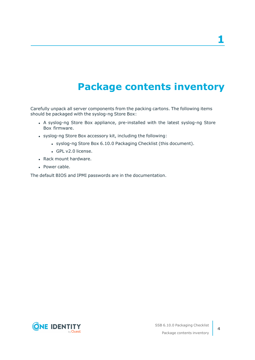**1**

# **Package contents inventory**

<span id="page-3-0"></span>Carefully unpack all server components from the packing cartons. The following items should be packaged with the syslog-ng Store Box:

- A syslog-ng Store Box appliance, pre-installed with the latest syslog-ng Store Box firmware.
- syslog-ng Store Box accessory kit, including the following:
	- syslog-ng Store Box 6.10.0 Packaging Checklist (this document).
	- GPL v2.0 license.
- Rack mount hardware.
- Power cable.

The default BIOS and IPMI passwords are in the documentation.



**4**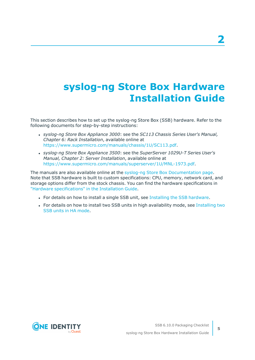# <span id="page-4-0"></span>**syslog-ng Store Box Hardware Installation Guide**

This section describes how to set up the syslog-ng Store Box (SSB) hardware. Refer to the following documents for step-by-step instructions:

- <sup>l</sup> *syslog-ng Store Box Appliance 3000*: see the *SC113 Chassis Series User's Manual, Chapter 6: Rack Installation*, available online at [https://www.supermicro.com/manuals/chassis/1U/SC113.pdf.](https://www.supermicro.com/manuals/chassis/1U/SC113.pdf)
- <sup>l</sup> *syslog-ng Store Box Appliance 3500*: see the *SuperServer 1029U-T Series User's Manual, Chapter 2: Server Installation*, available online at <https://www.supermicro.com/manuals/superserver/1U/MNL-1973.pdf>.

The manuals are also available online at the syslog-ng Store Box [Documentation](https://support.oneidentity.com/syslog-ng-store-box/technical-documents) page. Note that SSB hardware is built to custom specifications: CPU, memory, network card, and storage options differ from the stock chassis. You can find the hardware specifications in "Hardware [specifications"](https://support.oneidentity.com/technical-documents/syslog-ng-store-box/6.10.0/installation-guide/) in the Installation Guide.

- For details on how to install a single SSB unit, see Installing the SSB [hardware.](#page-5-0)
- For details on how to install two SSB units in high availability mode, see [Installing](#page-8-0) two SSB units in HA [mode.](#page-8-0)



**5**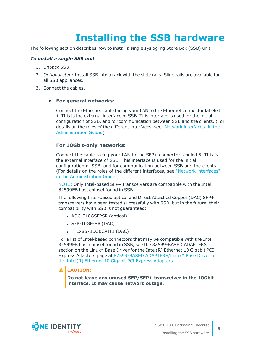# **Installing the SSB hardware**

<span id="page-5-0"></span>The following section describes how to install a single syslog-ng Store Box (SSB) unit.

### *To install a single SSB unit*

- 1. Unpack SSB.
- 2. *Optional step*: Install SSB into a rack with the slide rails. Slide rails are available for all SSB appliances.
- 3. Connect the cables.

#### a. **For general networks:**

Connect the Ethernet cable facing your LAN to the Ethernet connector labeled 1. This is the external interface of SSB. This interface is used for the initial configuration of SSB, and for communication between SSB and the clients. (For details on the roles of the different interfaces, see "Network [interfaces"](https://support.oneidentity.com/technical-documents/syslog-ng-store-box/6.10.0/administration-guide/the-concepts-of-ssb/network-interfaces/) in the [Administration](https://support.oneidentity.com/technical-documents/syslog-ng-store-box/6.10.0/administration-guide/the-concepts-of-ssb/network-interfaces/) Guide.)

### **For 10Gbit-only networks:**

Connect the cable facing your LAN to the SFP+ connector labeled 5. This is the external interface of SSB. This interface is used for the initial configuration of SSB, and for communication between SSB and the clients. (For details on the roles of the different interfaces, see "Network [interfaces"](https://support.oneidentity.com/technical-documents/syslog-ng-store-box/6.10.0/administration-guide/the-concepts-of-ssb/network-interfaces/) in the [Administration](https://support.oneidentity.com/technical-documents/syslog-ng-store-box/6.10.0/administration-guide/the-concepts-of-ssb/network-interfaces/) Guide.)

NOTE: Only Intel-based SFP+ transceivers are compatible with the Intel 82599EB host chipset found in SSB.

The following Intel-based optical and Direct Attached Copper (DAC) SFP+ transceivers have been tested successfully with SSB, but in the future, their compatibility with SSB is not guaranteed:

- AOC-E10GSFPSR (optical)
- $\cdot$  SFP-10GE-SR (DAC)
- FTLX8571D3BCVIT1 (DAC)

For a list of Intel-based connectors that may be compatible with the Intel 82599EB host chipset found in SSB, see the 82599-BASED ADAPTERS section on the Linux\* Base Driver for the Intel(R) Ethernet 10 Gigabit PCI Express Adapters page at 82599-BASED [ADAPTERS/Linux\\*](https://www.kernel.org/doc/html/v4.20/networking/ixgbe.html) Base Driver for the Intel(R) Ethernet 10 Gigabit PCI Express [Adapters.](https://www.kernel.org/doc/html/v4.20/networking/ixgbe.html)

## **A** CAUTION:

**Do not leave any unused SFP/SFP+ transceiver in the 10Gbit interface. It may cause network outage.**

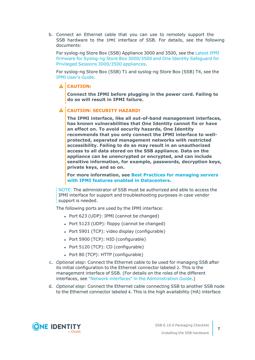b. Connect an Ethernet cable that you can use to remotely support the SSB hardware to the IPMI interface of SSB. For details, see the following documents:

For syslog-ng Store Box (SSB) Appliance 3000 and 3500, see the [Latest](https://support.oneidentity.com/kb/312276/) IPMI firmware for Syslog-ng Store Box [3000/3500](https://support.oneidentity.com/kb/312276/) and One Identity Safeguard for Privileged Sessions [3000/3500](https://support.oneidentity.com/kb/312276/) appliances.

For syslog-ng Store Box (SSB) T1 and syslog-ng Store Box (SSB) T4, see the IPMI [User's](https://www.supermicro.com/manuals/other/IPMI_Users_Guide.pdf) Guide.

## **A** CAUTION:

**Connect the IPMI before plugging in the power cord. Failing to do so will result in IPMI failure.**

### **CAUTION: SECURITY HAZARD!**

**The IPMI interface, like all out-of-band management interfaces, has known vulnerabilities that One Identity cannot fix or have an effect on. To avoid security hazards, One Identity recommends that you only connect the IPMI interface to wellprotected, separated management networks with restricted accessibility. Failing to do so may result in an unauthorized access to all data stored on the SSB appliance. Data on the appliance can be unencrypted or encrypted, and can include sensitive information, for example, passwords, decryption keys, private keys, and so on.**

**For more information, see Best Practices for [managing](https://www.supermicro.com/products/nfo/files/IPMI/Best_Practices_BMC_Security.pdf) servers with IPMI features enabled in [Datacenters](https://www.supermicro.com/products/nfo/files/IPMI/Best_Practices_BMC_Security.pdf).**

NOTE: The administrator of SSB must be authorized and able to access the IPMI interface for support and troubleshooting purposes in case vendor support is needed.

The following ports are used by the IPMI interface:

- $\bullet$  Port 623 (UDP): IPMI (cannot be changed)
- Port  $5123$  (UDP): floppy (cannot be changed)
- Port 5901 (TCP): video display (configurable)
- Port 5900 (TCP): HID (configurable)
- Port 5120 (TCP): CD (configurable)
- Port 80 (TCP): HTTP (configurable)
- c. *Optional step*: Connect the Ethernet cable to be used for managing SSB after its initial configuration to the Ethernet connector labeled 2. This is the management interface of SSB. (For details on the roles of the different interfaces, see "Network interfaces" in the [Administration](https://support.oneidentity.com/technical-documents/syslog-ng-store-box/6.10.0/administration-guide/the-concepts-of-ssb/network-interfaces/) Guide.)
- d. *Optional step*: Connect the Ethernet cable connecting SSB to another SSB node to the Ethernet connector labeled 4. This is the high availability (HA) interface

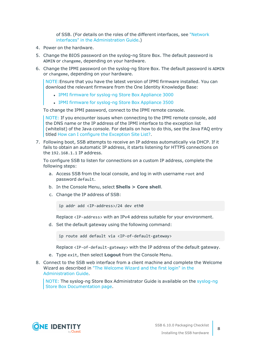of SSB. (For details on the roles of the different interfaces, see ["Network](https://support.oneidentity.com/technical-documents/syslog-ng-store-box/6.10.0/administration-guide/the-concepts-of-ssb/network-interfaces/) interfaces" in the [Administration](https://support.oneidentity.com/technical-documents/syslog-ng-store-box/6.10.0/administration-guide/the-concepts-of-ssb/network-interfaces/) Guide.)

- 4. Power on the hardware.
- 5. Change the BIOS password on the syslog-ng Store Box. The default password is ADMIN or changeme, depending on your hardware.
- 6. Change the IPMI password on the syslog-ng Store Box. The default password is ADMIN or changeme, depending on your hardware.

NOTE:Ensure that you have the latest version of IPMI firmware installed. You can download the relevant firmware from the One Identity Knowledge Base:

- IPMI firmware for [syslog-ng](https://support.oneidentity.com//kb/259247) Store Box Appliance 3000
- IPMI firmware for [syslog-ng](https://support.oneidentity.com//kb/259251) Store Box Appliance 3500

To change the IPMI password, connect to the IPMI remote console.

NOTE: If you encounter issues when connecting to the IPMI remote console, add the DNS name or the IP address of the IPMI interface to the exception list (whitelist) of the Java console. For details on how to do this, see the Java FAQ entry titled How can I configure the [Exception](https://www.java.com/en/download/faq/exception_sitelist.xml) Site List?.

7. Following boot, SSB attempts to receive an IP address automatically via DHCP. If it fails to obtain an automatic IP address, it starts listening for HTTPS connections on the 192.168.1.1 IP address.

To configure SSB to listen for connections on a custom IP address, complete the following steps:

- a. Access SSB from the local console, and log in with username root and password default.
- b. In the Console Menu, select **Shells > Core shell**.
- c. Change the IP address of SSB:

ip addr add <IP-address>/24 dev eth0

Replace <IP-address> with an IPv4 address suitable for your environment.

d. Set the default gateway using the following command:

ip route add default via <IP-of-default-gateway>

Replace <IP-of-default-gateway> with the IP address of the default gateway.

- e. Type exit, then select **Logout** from the Console Menu.
- 8. Connect to the SSB web interface from a client machine and complete the Welcome Wizard as described in "The [Welcome](https://support.oneidentity.com/technical-documents/syslog-ng-store-box/6.10.0/administration-guide/) Wizard and the first login" in the [Administration](https://support.oneidentity.com/technical-documents/syslog-ng-store-box/6.10.0/administration-guide/) Guide.

NOTE: The syslog-ng Store Box Administrator Guide is available on the [syslog-ng](https://support.oneidentity.com/syslog-ng-store-box/technical-documents) Store Box [Documentation](https://support.oneidentity.com/syslog-ng-store-box/technical-documents) page.



**8**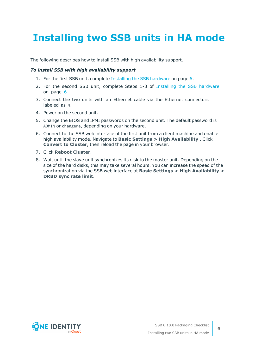# <span id="page-8-0"></span>**Installing two SSB units in HA mode**

The following describes how to install SSB with high availability support.

#### *To install SSB with high availability support*

- 1. For the first SSB unit, complete Installing the SSB [hardware](#page-5-0) on page 6.
- 2. For the second SSB unit, complete Steps 1-3 of Installing the SSB [hardware](#page-5-0) on [page](#page-5-0) 6.
- 3. Connect the two units with an Ethernet cable via the Ethernet connectors labeled as 4.
- 4. Power on the second unit.
- 5. Change the BIOS and IPMI passwords on the second unit. The default password is ADMIN or changeme, depending on your hardware.
- 6. Connect to the SSB web interface of the first unit from a client machine and enable high availability mode. Navigate to **Basic Settings > High Availability** . Click **Convert to Cluster**, then reload the page in your browser.
- 7. Click **Reboot Cluster**.
- 8. Wait until the slave unit synchronizes its disk to the master unit. Depending on the size of the hard disks, this may take several hours. You can increase the speed of the synchronization via the SSB web interface at **Basic Settings > High Availability > DRBD sync rate limit**.

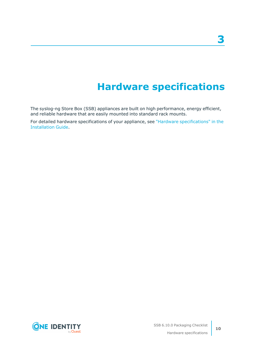# **Hardware specifications**

<span id="page-9-0"></span>The syslog-ng Store Box (SSB) appliances are built on high performance, energy efficient, and reliable hardware that are easily mounted into standard rack mounts.

For detailed hardware specifications of your appliance, see "Hardware [specifications"](https://support.oneidentity.com/technical-documents/syslog-ng-store-box/6.10.0/installation-guide/) in the [Installation](https://support.oneidentity.com/technical-documents/syslog-ng-store-box/6.10.0/installation-guide/) Guide.

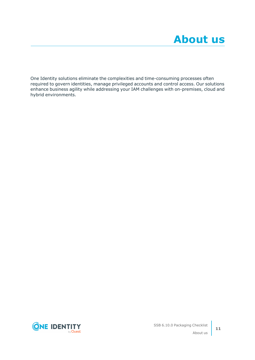<span id="page-10-0"></span>One Identity solutions eliminate the complexities and time-consuming processes often required to govern identities, manage privileged accounts and control access. Our solutions enhance business agility while addressing your IAM challenges with on-premises, cloud and hybrid environments.

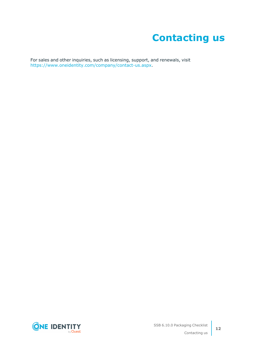# **Contacting us**

<span id="page-11-0"></span>For sales and other inquiries, such as licensing, support, and renewals, visit [https://www.oneidentity.com/company/contact-us.aspx.](https://www.oneidentity.com/company/contact-us.aspx)

**ONE IDENTITY** by **Quest**